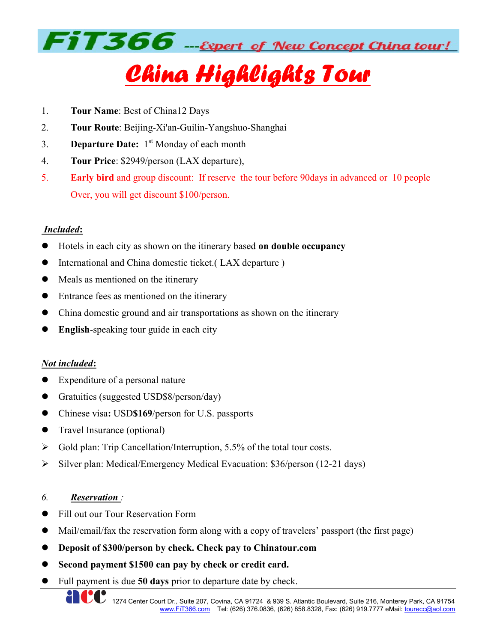

# China Highlights Tour

- 1. Tour Name: Best of China12 Days
- 2. Tour Route: Beijing-Xi'an-Guilin-Yangshuo-Shanghai
- 3. **Departure Date:**  $1<sup>st</sup>$  Monday of each month
- 4. Tour Price: \$2949/person (LAX departure),
- 5. Early bird and group discount: If reserve the tour before 90days in advanced or 10 people Over, you will get discount \$100/person.

### Included:

- Hotels in each city as shown on the itinerary based on double occupancy
- International and China domestic ticket.( LAX departure )
- Meals as mentioned on the itinerary
- Entrance fees as mentioned on the itinerary
- China domestic ground and air transportations as shown on the itinerary
- English-speaking tour guide in each city

#### Not included:

- Expenditure of a personal nature
- Gratuities (suggested USD\$8/person/day)
- Chinese visa: USD\$169/person for U.S. passports
- Travel Insurance (optional)
- $\triangleright$  Gold plan: Trip Cancellation/Interruption, 5.5% of the total tour costs.
- $\triangleright$  Silver plan: Medical/Emergency Medical Evacuation: \$36/person (12-21 days)

#### 6. Reservation :

- Fill out our Tour Reservation Form
- Mail/email/fax the reservation form along with a copy of travelers' passport (the first page)
- Deposit of \$300/person by check. Check pay to Chinatour.com
- Second payment \$1500 can pay by check or credit card.
- Full payment is due 50 days prior to departure date by check.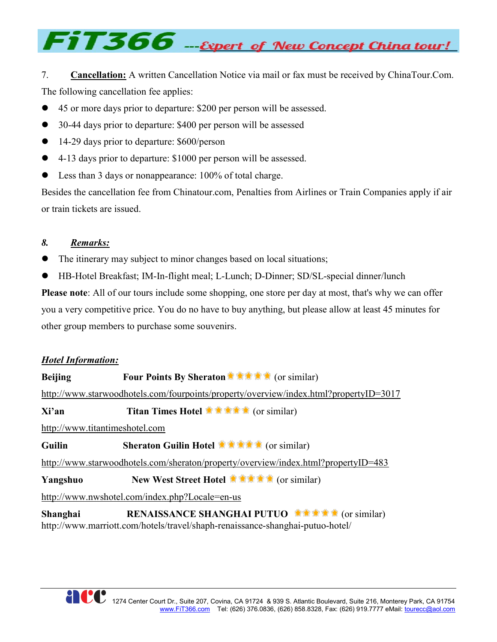# FiT366 --Expert of New Concept China tour!

7. Cancellation: A written Cancellation Notice via mail or fax must be received by ChinaTour.Com. The following cancellation fee applies:

- 45 or more days prior to departure: \$200 per person will be assessed.
- 30-44 days prior to departure: \$400 per person will be assessed
- 14-29 days prior to departure: \$600/person
- 4-13 days prior to departure: \$1000 per person will be assessed.
- Less than 3 days or nonappearance: 100% of total charge.

Besides the cancellation fee from Chinatour.com, Penalties from Airlines or Train Companies apply if air or train tickets are issued.

#### 8. Remarks:

- The itinerary may subject to minor changes based on local situations;
- HB-Hotel Breakfast; IM-In-flight meal; L-Lunch; D-Dinner; SD/SL-special dinner/lunch

Please note: All of our tours include some shopping, one store per day at most, that's why we can offer you a very competitive price. You do no have to buy anything, but please allow at least 45 minutes for other group members to purchase some souvenirs.

#### Hotel Information:

Beijing Four Points By Sheraton (or similar) http://www.starwoodhotels.com/fourpoints/property/overview/index.html?propertyID=3017  $Xi'$ an Titan Times Hotel  $\mathbb{R} \oplus \mathbb{R}$  (or similar) http://www.titantimeshotel.com Guilin Sheraton Guilin Hotel **State of Sheraton Guilin Hotel** (or similar) http://www.starwoodhotels.com/sheraton/property/overview/index.html?propertyID=483 Yangshuo New West Street Hotel http://www.nwshotel.com/index.php?Locale=en-us Shanghai RENAISSANCE SHANGHAI PUTUO

http://www.marriott.com/hotels/travel/shaph-renaissance-shanghai-putuo-hotel/

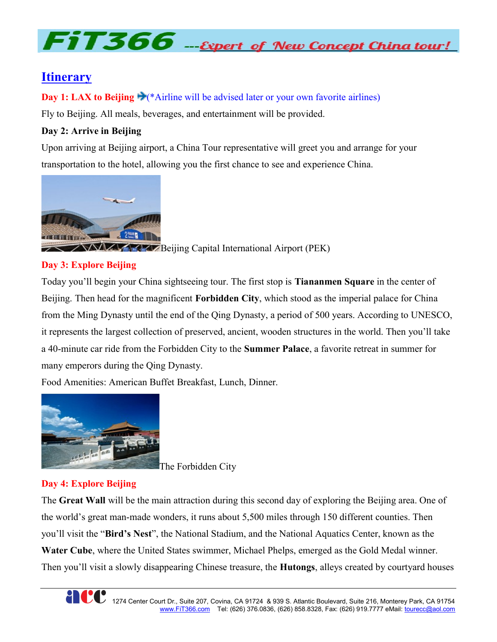# $FiT366$  - Expert of New Concept China tour!

# **Itinerary**

Day 1: LAX to Beijing  $\blacktriangleright$  (\*Airline will be advised later or your own favorite airlines)

Fly to Beijing. All meals, beverages, and entertainment will be provided.

# Day 2: Arrive in Beijing

Upon arriving at Beijing airport, a China Tour representative will greet you and arrange for your transportation to the hotel, allowing you the first chance to see and experience China.



# Day 3: Explore Beijing

Today you'll begin your China sightseeing tour. The first stop is Tiananmen Square in the center of Beijing. Then head for the magnificent Forbidden City, which stood as the imperial palace for China from the Ming Dynasty until the end of the Qing Dynasty, a period of 500 years. According to UNESCO, it represents the largest collection of preserved, ancient, wooden structures in the world. Then you'll take a 40-minute car ride from the Forbidden City to the Summer Palace, a favorite retreat in summer for many emperors during the Qing Dynasty.

Food Amenities: American Buffet Breakfast, Lunch, Dinner.



The Forbidden City

# Day 4: Explore Beijing

The Great Wall will be the main attraction during this second day of exploring the Beijing area. One of the world's great man-made wonders, it runs about 5,500 miles through 150 different counties. Then you'll visit the "Bird's Nest", the National Stadium, and the National Aquatics Center, known as the Water Cube, where the United States swimmer, Michael Phelps, emerged as the Gold Medal winner. Then you'll visit a slowly disappearing Chinese treasure, the **Hutongs**, alleys created by courtyard houses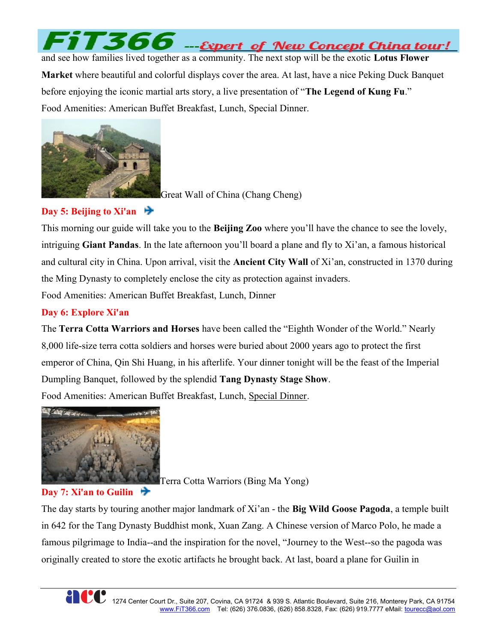

and see how families lived together as a community. The next stop will be the exotic Lotus Flower Market where beautiful and colorful displays cover the area. At last, have a nice Peking Duck Banquet before enjoying the iconic martial arts story, a live presentation of "The Legend of Kung Fu." Food Amenities: American Buffet Breakfast, Lunch, Special Dinner.



Great Wall of China (Chang Cheng)

### Day 5: Beijing to Xi'an

This morning our guide will take you to the **Beijing Zoo** where you'll have the chance to see the lovely, intriguing Giant Pandas. In the late afternoon you'll board a plane and fly to Xi'an, a famous historical and cultural city in China. Upon arrival, visit the **Ancient City Wall** of Xi'an, constructed in 1370 during the Ming Dynasty to completely enclose the city as protection against invaders.

Food Amenities: American Buffet Breakfast, Lunch, Dinner

### Day 6: Explore Xi'an

The Terra Cotta Warriors and Horses have been called the "Eighth Wonder of the World." Nearly 8,000 life-size terra cotta soldiers and horses were buried about 2000 years ago to protect the first emperor of China, Qin Shi Huang, in his afterlife. Your dinner tonight will be the feast of the Imperial Dumpling Banquet, followed by the splendid Tang Dynasty Stage Show. Food Amenities: American Buffet Breakfast, Lunch, Special Dinner.



Day 7: Xi'an to Guilin

Terra Cotta Warriors (Bing Ma Yong)

The day starts by touring another major landmark of Xi'an - the Big Wild Goose Pagoda, a temple built in 642 for the Tang Dynasty Buddhist monk, Xuan Zang. A Chinese version of Marco Polo, he made a famous pilgrimage to India--and the inspiration for the novel, "Journey to the West--so the pagoda was originally created to store the exotic artifacts he brought back. At last, board a plane for Guilin in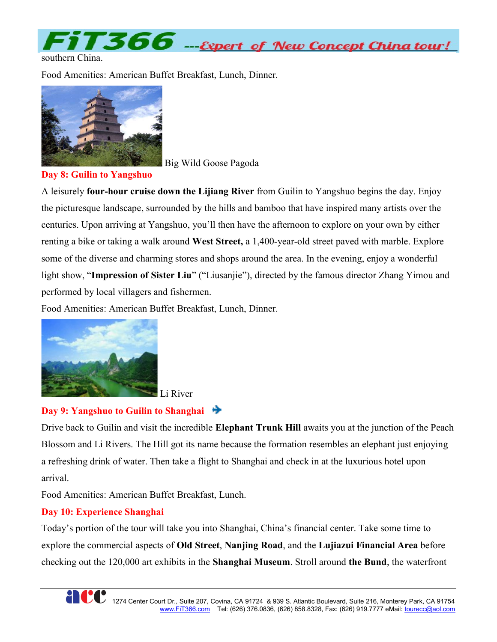FIT366 ---Expert of New Concept China tour!

Food Amenities: American Buffet Breakfast, Lunch, Dinner.



Big Wild Goose Pagoda

Day 8: Guilin to Yangshuo

A leisurely four-hour cruise down the Lijiang River from Guilin to Yangshuo begins the day. Enjoy the picturesque landscape, surrounded by the hills and bamboo that have inspired many artists over the centuries. Upon arriving at Yangshuo, you'll then have the afternoon to explore on your own by either renting a bike or taking a walk around **West Street,** a 1,400-year-old street paved with marble. Explore some of the diverse and charming stores and shops around the area. In the evening, enjoy a wonderful light show, "Impression of Sister Liu" ("Liusanjie"), directed by the famous director Zhang Yimou and performed by local villagers and fishermen.

Food Amenities: American Buffet Breakfast, Lunch, Dinner.



Li River

# Day 9: Yangshuo to Guilin to Shanghai  $\bigstar$

Drive back to Guilin and visit the incredible Elephant Trunk Hill awaits you at the junction of the Peach Blossom and Li Rivers. The Hill got its name because the formation resembles an elephant just enjoying a refreshing drink of water. Then take a flight to Shanghai and check in at the luxurious hotel upon arrival.

Food Amenities: American Buffet Breakfast, Lunch.

# Day 10: Experience Shanghai

Today's portion of the tour will take you into Shanghai, China's financial center. Take some time to explore the commercial aspects of Old Street, Nanjing Road, and the Lujiazui Financial Area before checking out the 120,000 art exhibits in the Shanghai Museum. Stroll around the Bund, the waterfront